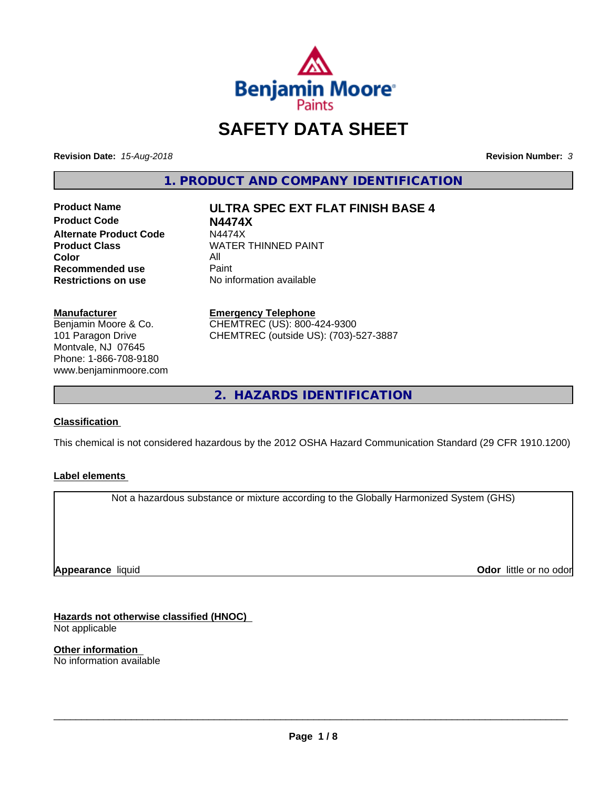

# **SAFETY DATA SHEET**

**Revision Date:** *15-Aug-2018* **Revision Number:** *3*

**1. PRODUCT AND COMPANY IDENTIFICATION**

**Product Name ULTRA SPEC EXT FLAT FINISH BASE 4 Product Code N4474X Alternate Product Code M4474X**<br>Product Class WATER **Color** All All<br>**Recommended use** Paint **Recommended use**<br>Restrictions on use

**WATER THINNED PAINT** 

**No information available** 

**Manufacturer** Benjamin Moore & Co.

101 Paragon Drive Montvale, NJ 07645 Phone: 1-866-708-9180 www.benjaminmoore.com

#### **Emergency Telephone**

CHEMTREC (US): 800-424-9300 CHEMTREC (outside US): (703)-527-3887

**2. HAZARDS IDENTIFICATION**

# **Classification**

This chemical is not considered hazardous by the 2012 OSHA Hazard Communication Standard (29 CFR 1910.1200)

### **Label elements**

Not a hazardous substance or mixture according to the Globally Harmonized System (GHS)

**Appearance** liquid

**Odor** little or no odor

**Hazards not otherwise classified (HNOC)** Not applicable

**Other information** No information available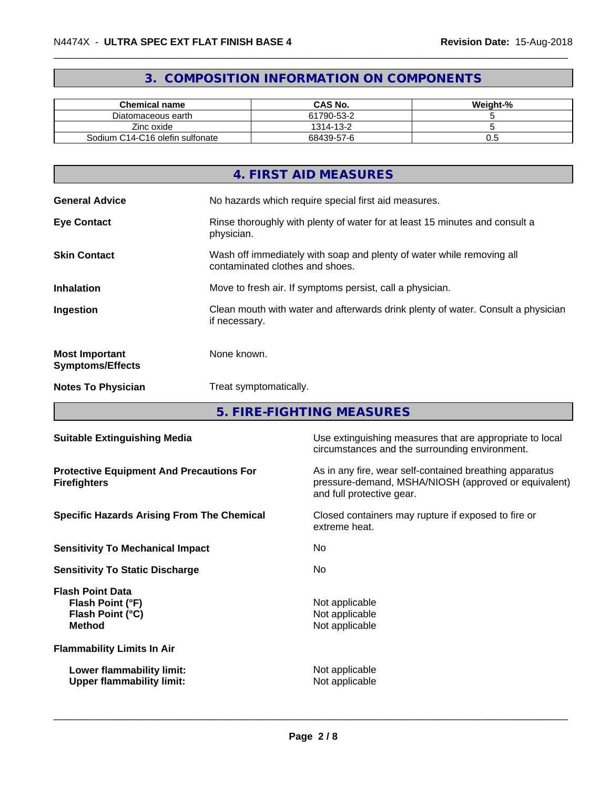# **3. COMPOSITION INFORMATION ON COMPONENTS**

| <b>Chemical name</b>            | <b>CAS No.</b> | Weight-% |
|---------------------------------|----------------|----------|
| Diatomaceous earth              | 61790-53-2     |          |
| Zinc oxide                      | 1314-13-2      |          |
| Sodium C14-C16 olefin sulfonate | 68439-57-6     | v.J      |

|                                                  | 4. FIRST AID MEASURES                                                                                    |
|--------------------------------------------------|----------------------------------------------------------------------------------------------------------|
| <b>General Advice</b>                            | No hazards which require special first aid measures.                                                     |
| <b>Eye Contact</b>                               | Rinse thoroughly with plenty of water for at least 15 minutes and consult a<br>physician.                |
| <b>Skin Contact</b>                              | Wash off immediately with soap and plenty of water while removing all<br>contaminated clothes and shoes. |
| <b>Inhalation</b>                                | Move to fresh air. If symptoms persist, call a physician.                                                |
| Ingestion                                        | Clean mouth with water and afterwards drink plenty of water. Consult a physician<br>if necessary.        |
| <b>Most Important</b><br><b>Symptoms/Effects</b> | None known.                                                                                              |
| <b>Notes To Physician</b>                        | Treat symptomatically.                                                                                   |

**5. FIRE-FIGHTING MEASURES**

| <b>Suitable Extinguishing Media</b>                                              | Use extinguishing measures that are appropriate to local<br>circumstances and the surrounding environment.                                   |
|----------------------------------------------------------------------------------|----------------------------------------------------------------------------------------------------------------------------------------------|
| <b>Protective Equipment And Precautions For</b><br><b>Firefighters</b>           | As in any fire, wear self-contained breathing apparatus<br>pressure-demand, MSHA/NIOSH (approved or equivalent)<br>and full protective gear. |
| <b>Specific Hazards Arising From The Chemical</b>                                | Closed containers may rupture if exposed to fire or<br>extreme heat.                                                                         |
| <b>Sensitivity To Mechanical Impact</b>                                          | No.                                                                                                                                          |
| <b>Sensitivity To Static Discharge</b>                                           | No.                                                                                                                                          |
| <b>Flash Point Data</b><br>Flash Point (°F)<br>Flash Point (°C)<br><b>Method</b> | Not applicable<br>Not applicable<br>Not applicable                                                                                           |
| <b>Flammability Limits In Air</b>                                                |                                                                                                                                              |
| Lower flammability limit:<br><b>Upper flammability limit:</b>                    | Not applicable<br>Not applicable                                                                                                             |
|                                                                                  |                                                                                                                                              |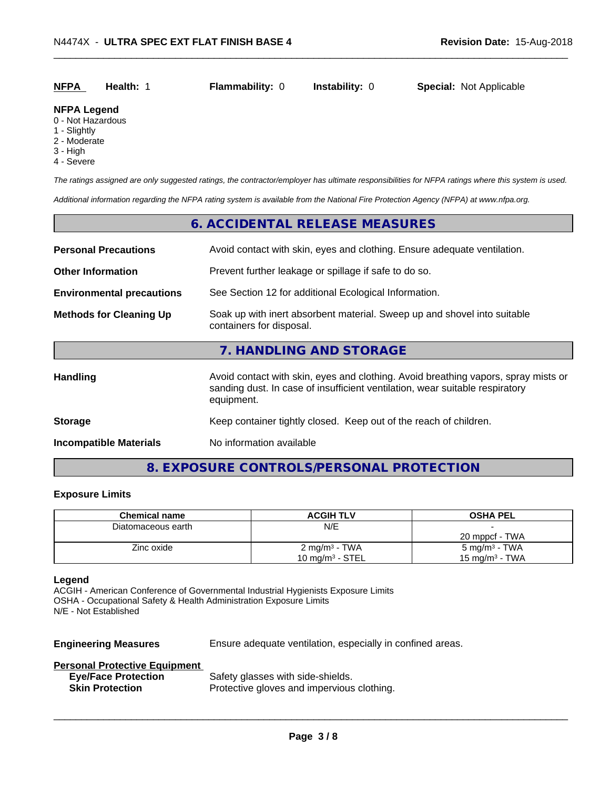| <b>NFPA</b> | Health: | <b>Flammability: 0</b> | Instability: 0 | <b>Special: Not Applicable</b> |  |
|-------------|---------|------------------------|----------------|--------------------------------|--|
|             |         |                        |                |                                |  |

#### **NFPA Legend**

- 0 Not Hazardous
- 1 Slightly
- 2 Moderate
- 3 High
- 4 Severe

*The ratings assigned are only suggested ratings, the contractor/employer has ultimate responsibilities for NFPA ratings where this system is used.*

*Additional information regarding the NFPA rating system is available from the National Fire Protection Agency (NFPA) at www.nfpa.org.*

# **6. ACCIDENTAL RELEASE MEASURES Personal Precautions** Avoid contact with skin, eyes and clothing. Ensure adequate ventilation. **Other Information** Prevent further leakage or spillage if safe to do so. **Environmental precautions** See Section 12 for additional Ecological Information. **Methods for Cleaning Up** Soak up with inert absorbent material. Sweep up and shovel into suitable containers for disposal. **7. HANDLING AND STORAGE** Handling **Handling** Avoid contact with skin, eyes and clothing. Avoid breathing vapors, spray mists or sanding dust. In case of insufficient ventilation, wear suitable respiratory equipment. **Storage Storage Keep container tightly closed. Keep out of the reach of children.**

**Incompatible Materials** No information available

# **8. EXPOSURE CONTROLS/PERSONAL PROTECTION**

#### **Exposure Limits**

| <b>Chemical name</b> | <b>ACGIH TLV</b>         | <b>OSHA PEL</b>           |
|----------------------|--------------------------|---------------------------|
| Diatomaceous earth   | N/E                      |                           |
|                      |                          | 20 mppcf - TWA            |
| Zinc oxide           | $2 \text{ mg/m}^3$ - TWA | 5 mg/m <sup>3</sup> - TWA |
|                      | 10 mg/m $3$ - STEL       | 15 mg/m $3$ - TWA         |

#### **Legend**

ACGIH - American Conference of Governmental Industrial Hygienists Exposure Limits OSHA - Occupational Safety & Health Administration Exposure Limits N/E - Not Established

**Engineering Measures** Ensure adequate ventilation, especially in confined areas.

 $\overline{\phantom{a}}$  ,  $\overline{\phantom{a}}$  ,  $\overline{\phantom{a}}$  ,  $\overline{\phantom{a}}$  ,  $\overline{\phantom{a}}$  ,  $\overline{\phantom{a}}$  ,  $\overline{\phantom{a}}$  ,  $\overline{\phantom{a}}$  ,  $\overline{\phantom{a}}$  ,  $\overline{\phantom{a}}$  ,  $\overline{\phantom{a}}$  ,  $\overline{\phantom{a}}$  ,  $\overline{\phantom{a}}$  ,  $\overline{\phantom{a}}$  ,  $\overline{\phantom{a}}$  ,  $\overline{\phantom{a}}$ 

#### **Personal Protective Equipment**

| <b>Eye/Face Protection</b> | Safety glasses with side-shields.          |
|----------------------------|--------------------------------------------|
| <b>Skin Protection</b>     | Protective gloves and impervious clothing. |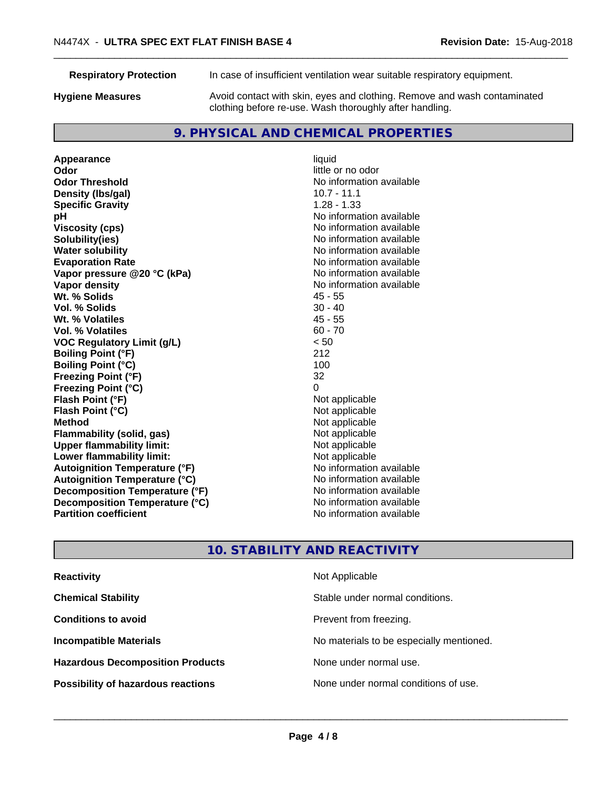**Respiratory Protection** In case of insufficient ventilation wear suitable respiratory equipment.

**Hygiene Measures** Avoid contact with skin, eyes and clothing. Remove and wash contaminated clothing before re-use. Wash thoroughly after handling.

# **9. PHYSICAL AND CHEMICAL PROPERTIES**

**Appearance** liquid **Odor Odor Odor Odor Odor** *CODOR CODOR CODOR CODOR CODOR CODOR CODOR CODOR CODOR CODOR CODOR CODOR CODOR CODOR CODOR CODOR CODOR CODOR CODOR* **Odor Threshold**<br> **Density (Ibs/gal)**<br> **Density (Ibs/gal)**<br> **No information available**<br>
10.7 - 11.1 **Density (lbs/gal) Specific Gravity** 1.28 - 1.33 **pH**<br>
Viscosity (cps) The Contract of the Contract of the Viscosity (cps) and Viscosity (cps) **Solubility(ies)** No information available **Water solubility** No information available **Evaporation Rate Evaporation Rate No information available Vapor pressure @20 °C (kPa)** No information available **Vapor density Vapor density No information available Wt. % Solids** 45 - 55 **Vol. % Solids** 30 - 40 **Wt. % Volatiles** 45 - 55 **Vol. % Volatiles** 60 - 70 **VOC Regulatory Limit (g/L)** < 50 **Boiling Point (°F)** 212 **Boiling Point (°C)** 100 **Freezing Point (°F)** 32 **Freezing Point (°C)** 0 **Flash Point (°F)**<br> **Flash Point (°C)**<br> **Flash Point (°C)**<br> **C Flash Point (°C) Method** Not applicable **Flammability (solid, gas)** Not applicable Not applicable<br>
Upper flammability limit: Not applicable **Upper flammability limit:**<br> **Lower flammability limit:**<br>
Not applicable<br>
Not applicable **Lower flammability limit: Autoignition Temperature (°F)** No information available **Autoignition Temperature (°C)** No information available **Decomposition Temperature (°F)** No information available **Decomposition Temperature (°C)**<br> **Partition coefficient**<br> **Partition coefficient**<br> **No** information available

**Viscosity (cps)** No information available **No information available** 

# **10. STABILITY AND REACTIVITY**

| <b>Reactivity</b>                         | Not Applicable                           |
|-------------------------------------------|------------------------------------------|
| <b>Chemical Stability</b>                 | Stable under normal conditions.          |
| <b>Conditions to avoid</b>                | Prevent from freezing.                   |
| <b>Incompatible Materials</b>             | No materials to be especially mentioned. |
| <b>Hazardous Decomposition Products</b>   | None under normal use.                   |
| <b>Possibility of hazardous reactions</b> | None under normal conditions of use.     |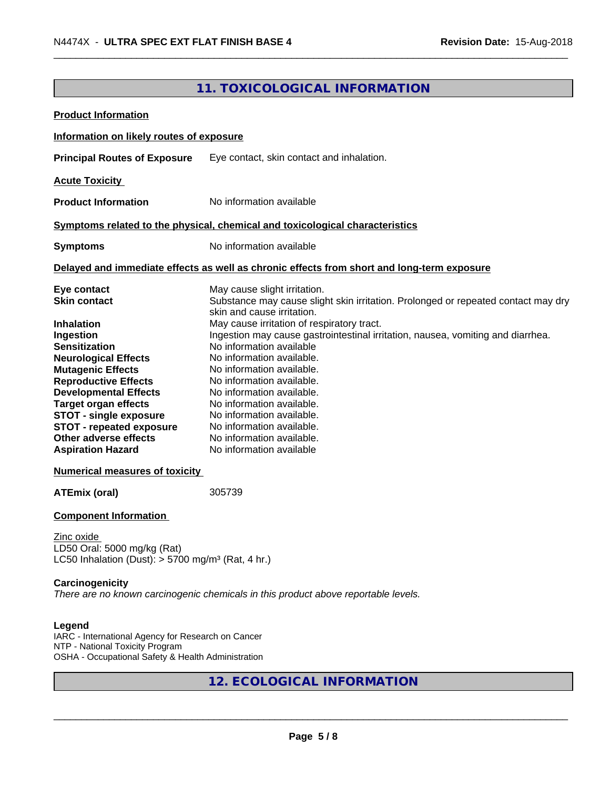# **11. TOXICOLOGICAL INFORMATION**

| <b>Product Information</b>                                                            |                                                                                            |
|---------------------------------------------------------------------------------------|--------------------------------------------------------------------------------------------|
| Information on likely routes of exposure                                              |                                                                                            |
| <b>Principal Routes of Exposure</b>                                                   | Eye contact, skin contact and inhalation.                                                  |
| <b>Acute Toxicity</b>                                                                 |                                                                                            |
| <b>Product Information</b>                                                            | No information available                                                                   |
|                                                                                       |                                                                                            |
|                                                                                       | Symptoms related to the physical, chemical and toxicological characteristics               |
| <b>Symptoms</b>                                                                       | No information available                                                                   |
|                                                                                       | Delayed and immediate effects as well as chronic effects from short and long-term exposure |
| Eye contact                                                                           | May cause slight irritation.                                                               |
| <b>Skin contact</b>                                                                   | Substance may cause slight skin irritation. Prolonged or repeated contact may dry          |
| <b>Inhalation</b>                                                                     | skin and cause irritation.<br>May cause irritation of respiratory tract.                   |
| Ingestion                                                                             | Ingestion may cause gastrointestinal irritation, nausea, vomiting and diarrhea.            |
| <b>Sensitization</b>                                                                  | No information available                                                                   |
| <b>Neurological Effects</b>                                                           | No information available.                                                                  |
| <b>Mutagenic Effects</b>                                                              | No information available.                                                                  |
| <b>Reproductive Effects</b>                                                           | No information available.                                                                  |
| <b>Developmental Effects</b>                                                          | No information available.                                                                  |
| <b>Target organ effects</b>                                                           | No information available.                                                                  |
| <b>STOT - single exposure</b>                                                         | No information available.                                                                  |
| <b>STOT - repeated exposure</b>                                                       | No information available.                                                                  |
| Other adverse effects                                                                 | No information available.                                                                  |
| <b>Aspiration Hazard</b>                                                              | No information available                                                                   |
| <b>Numerical measures of toxicity</b>                                                 |                                                                                            |
| <b>ATEmix (oral)</b>                                                                  | 305739                                                                                     |
| <b>Component Information</b>                                                          |                                                                                            |
| Zinc oxide                                                                            |                                                                                            |
| D50 Oral: 5000 mg/kg (Rat)                                                            |                                                                                            |
| LC50 Inhalation (Dust): $> 5700$ mg/m <sup>3</sup> (Rat, 4 hr.)                       |                                                                                            |
| Carcinogenicity                                                                       |                                                                                            |
|                                                                                       | There are no known carcinogenic chemicals in this product above reportable levels.         |
| Legend                                                                                |                                                                                            |
| IARC - International Agency for Research on Cancer<br>NTP - National Toxicity Program |                                                                                            |

OSHA - Occupational Safety & Health Administration

**12. ECOLOGICAL INFORMATION**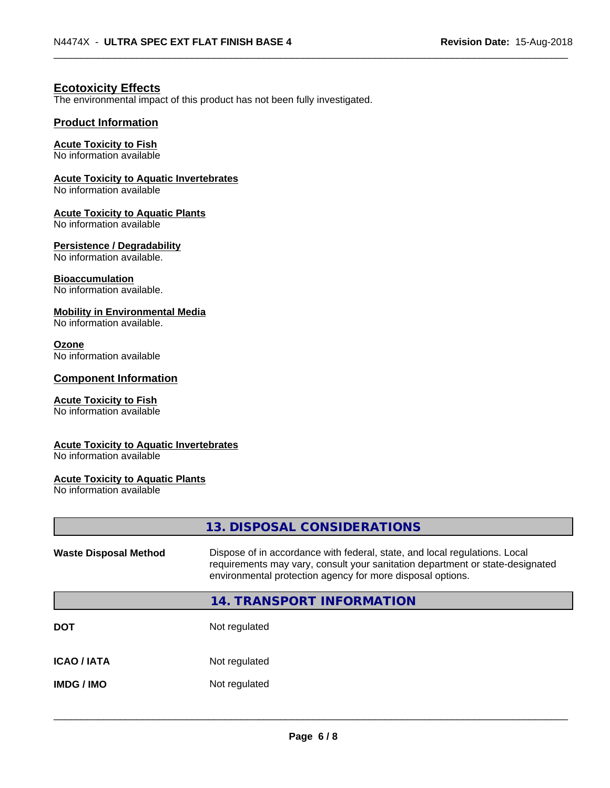## **Ecotoxicity Effects**

The environmental impact of this product has not been fully investigated.

#### **Product Information**

#### **Acute Toxicity to Fish**

No information available

#### **Acute Toxicity to Aquatic Invertebrates**

No information available

#### **Acute Toxicity to Aquatic Plants**

No information available

#### **Persistence / Degradability**

No information available.

#### **Bioaccumulation**

No information available.

#### **Mobility in Environmental Media**

No information available.

#### **Ozone**

No information available

#### **Component Information**

### **Acute Toxicity to Fish**

No information available

#### **Acute Toxicity to Aquatic Invertebrates**

No information available

#### **Acute Toxicity to Aquatic Plants**

No information available

|                              | 13. DISPOSAL CONSIDERATIONS                                                                                                                                                                                               |
|------------------------------|---------------------------------------------------------------------------------------------------------------------------------------------------------------------------------------------------------------------------|
| <b>Waste Disposal Method</b> | Dispose of in accordance with federal, state, and local regulations. Local<br>requirements may vary, consult your sanitation department or state-designated<br>environmental protection agency for more disposal options. |
|                              | 14. TRANSPORT INFORMATION                                                                                                                                                                                                 |
| DOT                          | Not regulated                                                                                                                                                                                                             |
| ICAO / IATA                  | Not regulated                                                                                                                                                                                                             |
| IMDG / IMO                   | Not regulated                                                                                                                                                                                                             |
|                              |                                                                                                                                                                                                                           |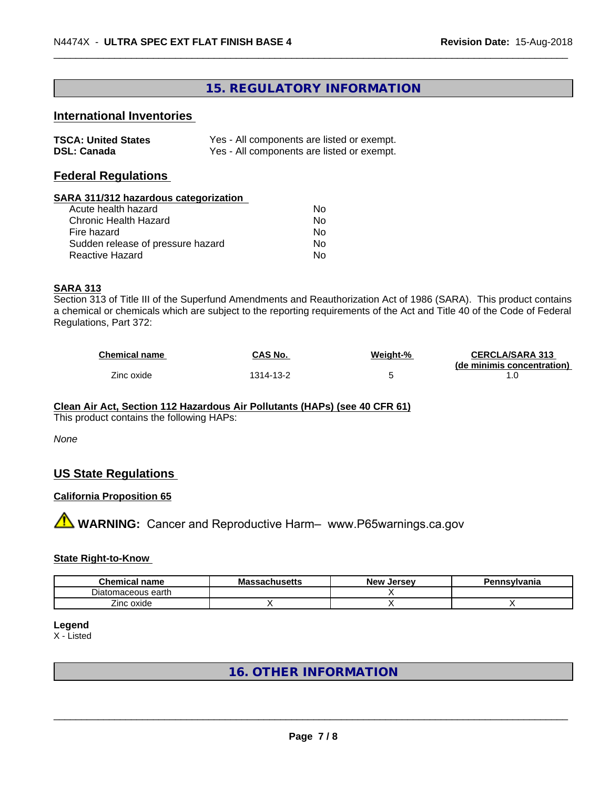# **15. REGULATORY INFORMATION**

# **International Inventories**

| <b>TSCA: United States</b> | Yes - All components are listed or exempt. |
|----------------------------|--------------------------------------------|
| <b>DSL: Canada</b>         | Yes - All components are listed or exempt. |

### **Federal Regulations**

#### **SARA 311/312 hazardous categorization**

| Acute health hazard               | Nο |  |
|-----------------------------------|----|--|
| Chronic Health Hazard             | Nο |  |
| Fire hazard                       | N٥ |  |
| Sudden release of pressure hazard | Nο |  |
| Reactive Hazard                   | Nο |  |

#### **SARA 313**

Section 313 of Title III of the Superfund Amendments and Reauthorization Act of 1986 (SARA). This product contains a chemical or chemicals which are subject to the reporting requirements of the Act and Title 40 of the Code of Federal Regulations, Part 372:

| <b>Chemical name</b> | CAS No.   | Weight-% | <b>CERCLA/SARA 313</b><br>(de minimis concentration) |
|----------------------|-----------|----------|------------------------------------------------------|
| Zinc oxide           | 1314-13-2 |          |                                                      |

#### **Clean Air Act,Section 112 Hazardous Air Pollutants (HAPs) (see 40 CFR 61)**

This product contains the following HAPs:

#### *None*

# **US State Regulations**

#### **California Proposition 65**

**AVIMARNING:** Cancer and Reproductive Harm– www.P65warnings.ca.gov

#### **State Right-to-Know**

| <b>Chemical name</b>      | massachusetts | . Jersev<br><b>New</b> | าnsvlvania |
|---------------------------|---------------|------------------------|------------|
| - -<br>Diatomaceous earth |               |                        |            |
| –.<br>∠inc oxide<br>୵୴    |               |                        |            |

# **Legend**

X - Listed

# **16. OTHER INFORMATION**